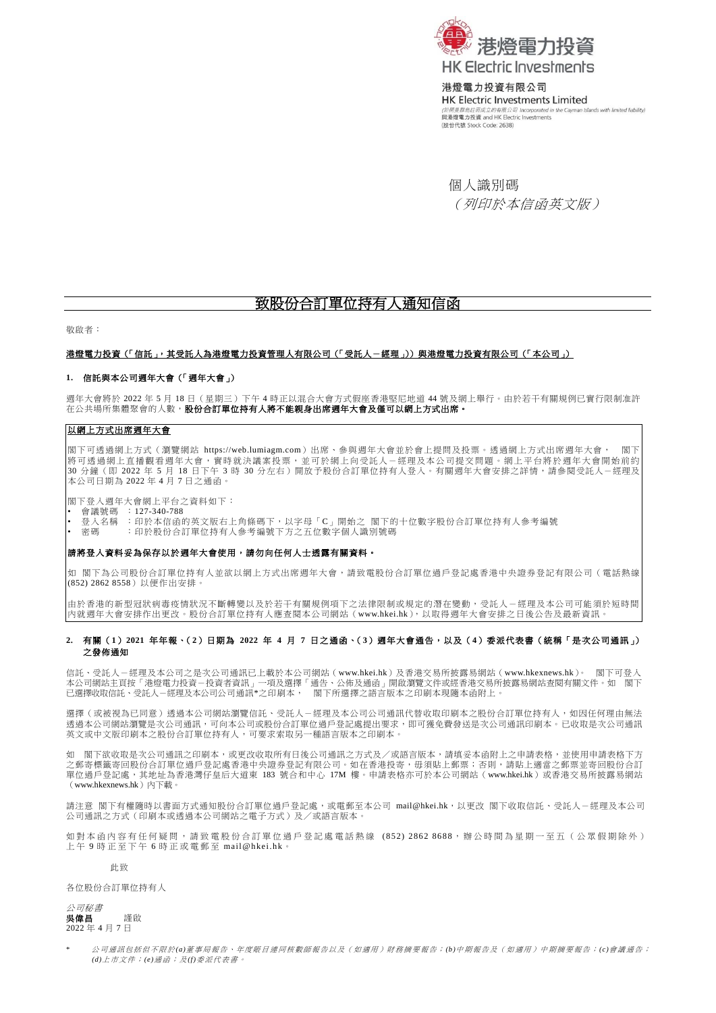

港燈電力投資有限公司 **HK Electric Investments Limited** slands with limited liability) (於開曼群島註冊成立的有限公司 Incorporated in the C<br>**與港燈電力投資 and HK Electric Investments** (股份代號 Stock Code: 2638)

個人識別碼 (列印於本信函英文版)

# 致股份合訂單位持有人通知信函

敬啟者:

### 造燈電力投資(「信託」,其受託人為港燈電力投資管理人有限公司(「受託人-經理」))與港燈電力投資有限公司(「本公司」)

## **1.** 信託與本公司週年大會(「週年大會」)

週年大會將於 2022 年 5 月 18 日 (星期三)下午 4 時正以混合大會方式假座香港堅尼地道 44 號及網上舉行。由於若干有關規例已實行限制准許 在公共場所集體聚會的人數,股份合訂單位持有人將不能親身出席週年大會及僅可以網上方式出席。

# 以網上方式出席週年大會

閣下可透過網上方式(瀏覽網站 [https://web.lumiagm.com](https://web.lumiagm.com/))出席、參與週年大會並於會上提問及投票。透過網上方式出席週年大會, 閣下 將可透過網上直播觀看週年大會,實時就決議案投票,並可於網上向受託人-經理及本公司提交問題。網上平台將於週年大會開始前約| 30 分鐘(即 2022 年 5 月 18 日下午 3 時 30 分左右)開放予股份合訂單位持有人登入。有關週年大會安排之詳情,請參閱受託人-經理及| 本公司日期為 2022 年 4 月 7 日之通函。

閣下登入週年大會網上平台之資料如下:

- 會議號碼 :127-340-788
- 登入名稱 :印於本信函的英文版右上角條碼下,以字母「C」開始之 閣下的十位數字股份合訂單位持有人參考編號
- 密碼 :印於股份合訂單位持有人參考編號下方之五位數字個人識別號碼

#### 請將登入資料妥為保存以於週年大會使用,請勿向任何人士透露有關資料。

如 閣下為公司股份合訂單位持有人並欲以網上方式出席週年大會,請致電股份合訂單位過戶登記處香港中央證券登記有限公司(電話熱線 (852) 2862 8558)以便作出安排。

由於香港的新型冠狀病毒疫情狀況不斷轉變以及於若干有關規例項下之法律限制或規定的潛在變動,受託人一經理及本公司可能須於短時間 內就週年大會安排作出更改。股份合訂單位持有人應查閱本公司網站([www.hkei.hk](https://www.hkelectric.com/zh)),以取得週年大會安排之日後公告及最新資訊。

### **2.** 有關(**1**)**2021** 年年報、(**2**)日期為 **2022** 年 **4** 月 **7** 日之通函、(**3**)週年大會通告,以及(**4**)委派代表書(統稱「是次公司通訊」) 之發佈通知

信託、受託人-經理及本公司之是次公司通訊已上載於本公司網站([www.hkei.hk](https://www.hkelectric.com/zh))及香港交易所披露易網站([www.hkexnews.hk](https://www.hkexnews.hk/index_c.htm))。 閣下可登入 本公司網站主頁按「港燈電力投資-投資者資訊」一項及選擇「通告、公佈及通函」開啟瀏覽文件或經香港交易所披露易網站查閱有關文件。如 閣下 已選擇收取信託、受託人-經理及本公司公司通訊\*之印刷本, 閣下所選擇之語言版本之印刷本現隨本函附上。

選擇(或被視為已同意)透過本公司網站瀏覽信託、受託人一經理及本公司公司通訊代替收取印刷本之股份合訂單位持有人,如因任何理由無法 透過本公司網站瀏覽是次公司通訊,可向本公司或股份合訂單位過戶登記處提出要求,即可獲免費發送是次公司通訊印刷本。已收取是次公司通訊 英文或中文版印刷本之股份合訂單位持有人,可要求索取另一種語言版本之印刷本。

如 閣下欲收取是次公司通訊之印刷本,或更改收取所有日後公司通訊之方式及/或語言版本,請填妥本函附上之申請表格,並使用申請表格下方 之郵寄標籤寄回股份合訂單位過戶登記處香港中央證券登記有限公司。如在香港投寄,毋須貼上郵票;否則,請貼上適當之郵票並寄回股份合訂 單位過戶登記處,其地址為香港灣仔皇后大道東 183 號合和中心 17M 樓。申請表格亦可於本公司網站([www.hkei.hk](https://www.hkelectric.com/zh))或香港交易所披露易網站 ([www.hkexnews.hk](https://www.hkexnews.hk/index_c.htm))內下載。

請注意 閣下有權隨時以書面方式通知股份合訂單位過戶登記處,或電郵至本公司 [mail@hkei.hk](mailto:mail@hkei.hk),以更改 閣下收取信託、受託人-經理及本公司 公司通訊之方式(印刷本或透過本公司網站之電子方式)及/或語言版本。

如對本函內容有任何疑問,請致電股份合訂單位過戶登記處電話熱線 (852) 2862 8688,辦公時間為星期一至五(公眾假期除外) 上 午 9 時 正 至 下 午 6 時 正 或 電 郵 至 [mail@hkei.hk](mailto:mail@hkei.hk)。

#### 此致

各位股份合訂單位持有人



公司通訊包括但不限於(a)董事局報告、年度賬目連同核數師報告以及(如適用)財務摘要報告; (b)中期報告及(如適用)中期摘要報告; (c)會議通告; *(d)*上 市 文件 ; *(e)*通 函; 及 *(f)*委 派代 表 書。